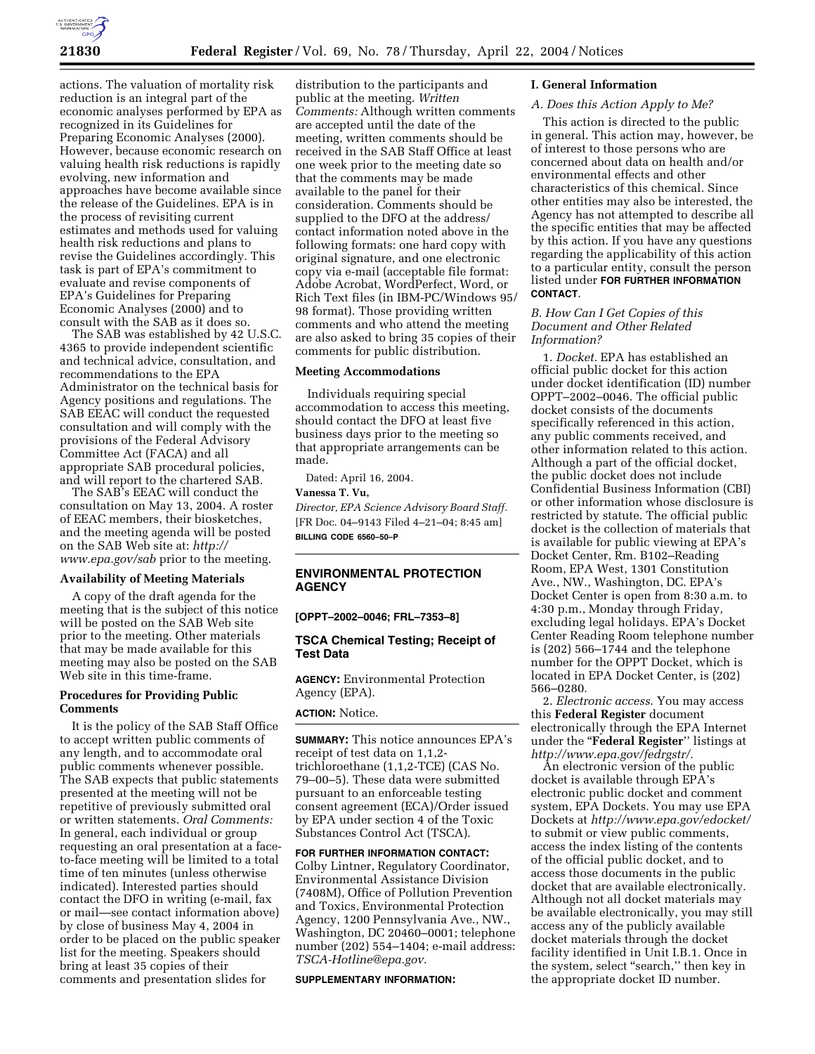

actions. The valuation of mortality risk reduction is an integral part of the economic analyses performed by EPA as recognized in its Guidelines for Preparing Economic Analyses (2000). However, because economic research on valuing health risk reductions is rapidly evolving, new information and approaches have become available since the release of the Guidelines. EPA is in the process of revisiting current estimates and methods used for valuing health risk reductions and plans to revise the Guidelines accordingly. This task is part of EPA's commitment to evaluate and revise components of EPA's Guidelines for Preparing Economic Analyses (2000) and to consult with the SAB as it does so.

The SAB was established by 42 U.S.C. 4365 to provide independent scientific and technical advice, consultation, and recommendations to the EPA Administrator on the technical basis for Agency positions and regulations. The SAB EEAC will conduct the requested consultation and will comply with the provisions of the Federal Advisory Committee Act (FACA) and all appropriate SAB procedural policies, and will report to the chartered SAB.

The SAB's EEAC will conduct the consultation on May 13, 2004. A roster of EEAC members, their biosketches, and the meeting agenda will be posted on the SAB Web site at: *http:// www.epa.gov/sab* prior to the meeting.

### **Availability of Meeting Materials**

A copy of the draft agenda for the meeting that is the subject of this notice will be posted on the SAB Web site prior to the meeting. Other materials that may be made available for this meeting may also be posted on the SAB Web site in this time-frame.

### **Procedures for Providing Public Comments**

It is the policy of the SAB Staff Office to accept written public comments of any length, and to accommodate oral public comments whenever possible. The SAB expects that public statements presented at the meeting will not be repetitive of previously submitted oral or written statements. *Oral Comments:*  In general, each individual or group requesting an oral presentation at a faceto-face meeting will be limited to a total time of ten minutes (unless otherwise indicated). Interested parties should contact the DFO in writing (e-mail, fax or mail—see contact information above) by close of business May 4, 2004 in order to be placed on the public speaker list for the meeting. Speakers should bring at least 35 copies of their comments and presentation slides for

distribution to the participants and public at the meeting. *Written Comments:* Although written comments are accepted until the date of the meeting, written comments should be received in the SAB Staff Office at least one week prior to the meeting date so that the comments may be made available to the panel for their consideration. Comments should be supplied to the DFO at the address/ contact information noted above in the following formats: one hard copy with original signature, and one electronic copy via e-mail (acceptable file format: Adobe Acrobat, WordPerfect, Word, or Rich Text files (in IBM-PC/Windows 95/ 98 format). Those providing written comments and who attend the meeting are also asked to bring 35 copies of their comments for public distribution.

### **Meeting Accommodations**

Individuals requiring special accommodation to access this meeting, should contact the DFO at least five business days prior to the meeting so that appropriate arrangements can be made.

Dated: April 16, 2004.

# **Vanessa T. Vu,**

*Director, EPA Science Advisory Board Staff.*  [FR Doc. 04–9143 Filed 4–21–04; 8:45 am] **BILLING CODE 6560–50–P** 

## **ENVIRONMENTAL PROTECTION AGENCY**

**[OPPT–2002–0046; FRL–7353–8]** 

### **TSCA Chemical Testing; Receipt of Test Data**

**AGENCY:** Environmental Protection Agency (EPA).

## **ACTION:** Notice.

**SUMMARY:** This notice announces EPA's receipt of test data on 1,1,2 trichloroethane (1,1,2-TCE) (CAS No. 79–00–5). These data were submitted pursuant to an enforceable testing consent agreement (ECA)/Order issued by EPA under section 4 of the Toxic Substances Control Act (TSCA).

**FOR FURTHER INFORMATION CONTACT:**  Colby Lintner, Regulatory Coordinator, Environmental Assistance Division (7408M), Office of Pollution Prevention and Toxics, Environmental Protection Agency, 1200 Pennsylvania Ave., NW., Washington, DC 20460–0001; telephone number (202) 554–1404; e-mail address: *TSCA-Hotline@epa.gov*.

#### **SUPPLEMENTARY INFORMATION:**

### **I. General Information**

#### *A. Does this Action Apply to Me?*

This action is directed to the public in general. This action may, however, be of interest to those persons who are concerned about data on health and/or environmental effects and other characteristics of this chemical. Since other entities may also be interested, the Agency has not attempted to describe all the specific entities that may be affected by this action. If you have any questions regarding the applicability of this action to a particular entity, consult the person listed under **FOR FURTHER INFORMATION CONTACT**.

## *B. How Can I Get Copies of this Document and Other Related Information?*

1. *Docket.* EPA has established an official public docket for this action under docket identification (ID) number OPPT–2002–0046. The official public docket consists of the documents specifically referenced in this action, any public comments received, and other information related to this action. Although a part of the official docket, the public docket does not include Confidential Business Information (CBI) or other information whose disclosure is restricted by statute. The official public docket is the collection of materials that is available for public viewing at EPA's Docket Center, Rm. B102–Reading Room, EPA West, 1301 Constitution Ave., NW., Washington, DC. EPA's Docket Center is open from 8:30 a.m. to 4:30 p.m., Monday through Friday, excluding legal holidays. EPA's Docket Center Reading Room telephone number is (202) 566–1744 and the telephone number for the OPPT Docket, which is located in EPA Docket Center, is (202) 566–0280.

2. *Electronic access*. You may access this **Federal Register** document electronically through the EPA Internet under the ''**Federal Register**'' listings at *http://www.epa.gov/fedrgstr/*.

An electronic version of the public docket is available through EPA's electronic public docket and comment system, EPA Dockets. You may use EPA Dockets at *http://www.epa.gov/edocket/*  to submit or view public comments, access the index listing of the contents of the official public docket, and to access those documents in the public docket that are available electronically. Although not all docket materials may be available electronically, you may still access any of the publicly available docket materials through the docket facility identified in Unit I.B.1. Once in the system, select "search," then key in the appropriate docket ID number.